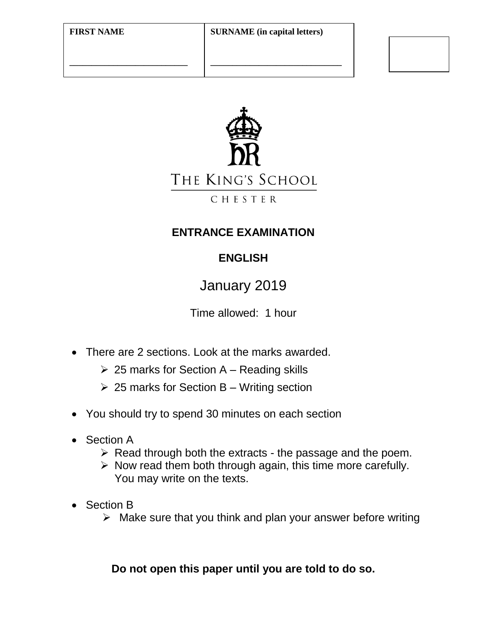**\_\_\_\_\_\_\_\_\_\_\_\_\_\_\_\_\_\_\_\_\_\_\_\_\_\_\_**

**\_\_\_\_\_\_\_\_\_\_\_\_\_\_\_\_\_\_\_\_\_\_\_\_\_\_\_\_\_\_**



#### **ENTRANCE EXAMINATION**

#### **ENGLISH**

# January 2019

Time allowed: 1 hour

- There are 2 sections. Look at the marks awarded.
	- $\geq$  25 marks for Section A Reading skills
	- $\geq$  25 marks for Section B Writing section
- You should try to spend 30 minutes on each section
- Section A
	- $\triangleright$  Read through both the extracts the passage and the poem.
	- $\triangleright$  Now read them both through again, this time more carefully. You may write on the texts.
- Section B
	- $\triangleright$  Make sure that you think and plan your answer before writing

**Do not open this paper until you are told to do so.**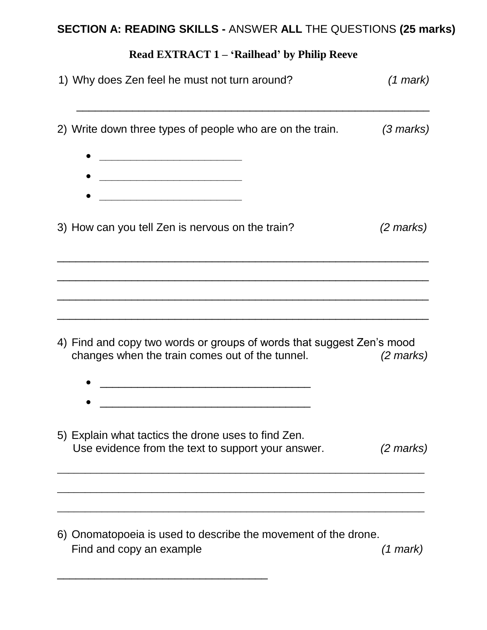## **SECTION A: READING SKILLS -** ANSWER **ALL** THE QUESTIONS **(25 marks)**

## **Read EXTRACT 1 – 'Railhead' by Philip Reeve**

| 1) Why does Zen feel he must not turn around?                                                                                                                                 | (1 mark)            |
|-------------------------------------------------------------------------------------------------------------------------------------------------------------------------------|---------------------|
| 2) Write down three types of people who are on the train.<br><u> 1989 - Johann John Stone, mars et al. (</u><br><u> 1989 - Johann John Stone, meil in der Stone (d. 1989)</u> | $(3 \text{ marks})$ |
| 3) How can you tell Zen is nervous on the train?                                                                                                                              | $(2 \text{ marks})$ |
| 4) Find and copy two words or groups of words that suggest Zen's mood<br>changes when the train comes out of the tunnel.                                                      | $(2 \text{ marks})$ |
| 5) Explain what tactics the drone uses to find Zen.<br>Use evidence from the text to support your answer.                                                                     | $(2 \text{ marks})$ |
| 6) Onomatopoeia is used to describe the movement of the drone.<br>Find and copy an example                                                                                    | (1 mark)            |

\_\_\_\_\_\_\_\_\_\_\_\_\_\_\_\_\_\_\_\_\_\_\_\_\_\_\_\_\_\_\_\_\_\_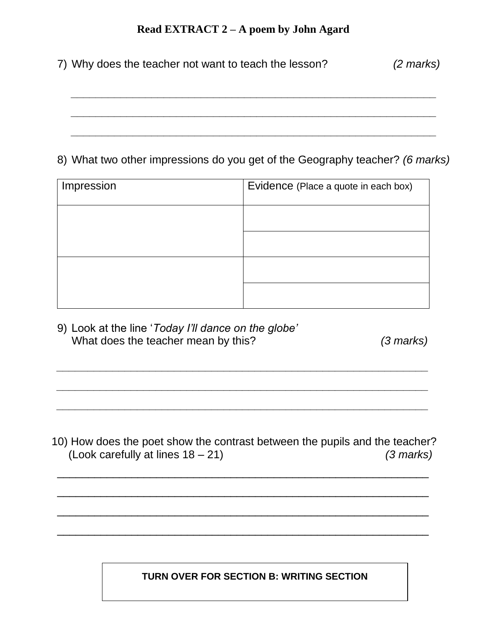#### **Read EXTRACT 2 – A poem by John Agard**

| 7) Why does the teacher not want to teach the lesson? | (2 marks) |
|-------------------------------------------------------|-----------|
|-------------------------------------------------------|-----------|

*\_\_\_\_\_\_\_\_\_\_\_\_\_\_\_\_\_\_\_\_\_\_\_\_\_\_\_\_\_\_\_\_\_\_\_\_\_\_\_\_\_\_\_\_\_\_\_\_\_\_\_\_\_\_\_\_\_\_\_*

*\_\_\_\_\_\_\_\_\_\_\_\_\_\_\_\_\_\_\_\_\_\_\_\_\_\_\_\_\_\_\_\_\_\_\_\_\_\_\_\_\_\_\_\_\_\_\_\_\_\_\_\_\_\_\_\_\_\_\_*

*\_\_\_\_\_\_\_\_\_\_\_\_\_\_\_\_\_\_\_\_\_\_\_\_\_\_\_\_\_\_\_\_\_\_\_\_\_\_\_\_\_\_\_\_\_\_\_\_\_\_\_\_\_\_\_\_\_\_\_* 

8) What two other impressions do you get of the Geography teacher? *(6 marks)*

| Impression | Evidence (Place a quote in each box) |
|------------|--------------------------------------|
|            |                                      |
|            |                                      |
|            |                                      |
|            |                                      |

9) Look at the line '*Today I'll dance on the globe'* What does the teacher mean by this? *(3 marks)*

10) How does the poet show the contrast between the pupils and the teacher? (Look carefully at lines 18 – 21) *(3 marks)*

\_\_\_\_\_\_\_\_\_\_\_\_\_\_\_\_\_\_\_\_\_\_\_\_\_\_\_\_\_\_\_\_\_\_\_\_\_\_\_\_\_\_\_\_\_\_\_\_\_\_\_\_\_\_\_\_\_\_\_\_

\_\_\_\_\_\_\_\_\_\_\_\_\_\_\_\_\_\_\_\_\_\_\_\_\_\_\_\_\_\_\_\_\_\_\_\_\_\_\_\_\_\_\_\_\_\_\_\_\_\_\_\_\_\_\_\_\_\_\_\_

\_\_\_\_\_\_\_\_\_\_\_\_\_\_\_\_\_\_\_\_\_\_\_\_\_\_\_\_\_\_\_\_\_\_\_\_\_\_\_\_\_\_\_\_\_\_\_\_\_\_\_\_\_\_\_\_\_\_\_\_

\_\_\_\_\_\_\_\_\_\_\_\_\_\_\_\_\_\_\_\_\_\_\_\_\_\_\_\_\_\_\_\_\_\_\_\_\_\_\_\_\_\_\_\_\_\_\_\_\_\_\_\_\_\_\_\_\_\_\_\_

*\_\_\_\_\_\_\_\_\_\_\_\_\_\_\_\_\_\_\_\_\_\_\_\_\_\_\_\_\_\_\_\_\_\_\_\_\_\_\_\_\_\_\_\_\_\_\_\_\_\_\_\_\_\_\_\_\_\_\_\_*

*\_\_\_\_\_\_\_\_\_\_\_\_\_\_\_\_\_\_\_\_\_\_\_\_\_\_\_\_\_\_\_\_\_\_\_\_\_\_\_\_\_\_\_\_\_\_\_\_\_\_\_\_\_\_\_\_\_\_\_\_*

*\_\_\_\_\_\_\_\_\_\_\_\_\_\_\_\_\_\_\_\_\_\_\_\_\_\_\_\_\_\_\_\_\_\_\_\_\_\_\_\_\_\_\_\_\_\_\_\_\_\_\_\_\_\_\_\_\_\_\_\_*

 **TURN OVER FOR SECTION B: WRITING SECTION**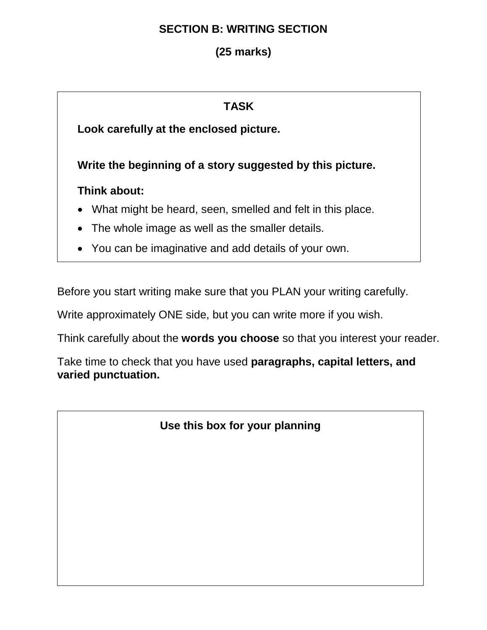## **SECTION B: WRITING SECTION**

## **(25 marks)**



Before you start writing make sure that you PLAN your writing carefully.

Write approximately ONE side, but you can write more if you wish.

Think carefully about the **words you choose** so that you interest your reader.

Take time to check that you have used **paragraphs, capital letters, and varied punctuation.**

**Use this box for your planning**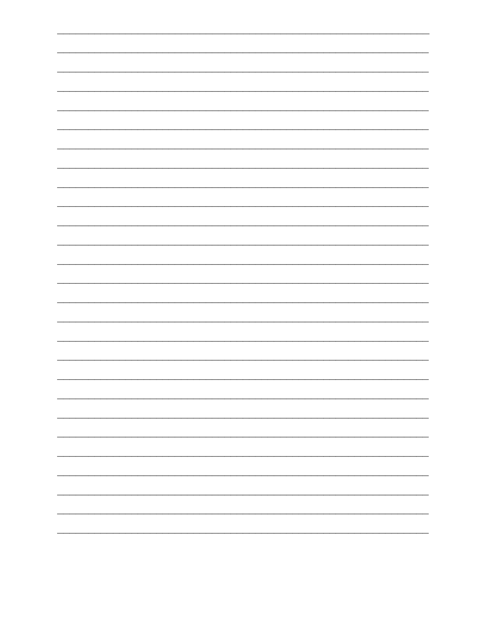